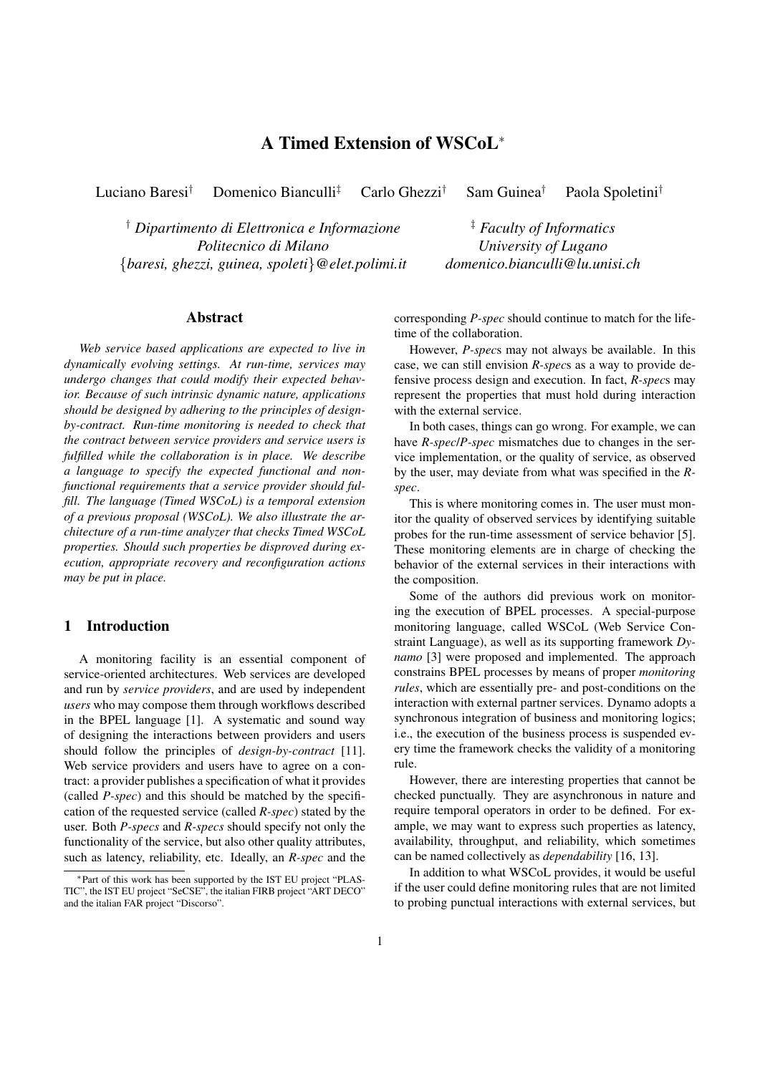# A Timed Extension of WSCoL<sup>∗</sup>

Luciano Baresi† Domenico Bianculli‡ Carlo Ghezzi† Sam Guinea† Paola Spoletini†

† *Dipartimento di Elettronica e Informazione Politecnico di Milano* {*baresi, ghezzi, guinea, spoleti*}*@elet.polimi.it*

‡ *Faculty of Informatics University of Lugano domenico.bianculli@lu.unisi.ch*

## Abstract

*Web service based applications are expected to live in dynamically evolving settings. At run-time, services may undergo changes that could modify their expected behavior. Because of such intrinsic dynamic nature, applications should be designed by adhering to the principles of designby-contract. Run-time monitoring is needed to check that the contract between service providers and service users is fulfilled while the collaboration is in place. We describe a language to specify the expected functional and nonfunctional requirements that a service provider should fulfill. The language (Timed WSCoL) is a temporal extension of a previous proposal (WSCoL). We also illustrate the architecture of a run-time analyzer that checks Timed WSCoL properties. Should such properties be disproved during execution, appropriate recovery and reconfiguration actions may be put in place.*

### 1 Introduction

A monitoring facility is an essential component of service-oriented architectures. Web services are developed and run by *service providers*, and are used by independent *users* who may compose them through workflows described in the BPEL language [1]. A systematic and sound way of designing the interactions between providers and users should follow the principles of *design-by-contract* [11]. Web service providers and users have to agree on a contract: a provider publishes a specification of what it provides (called *P-spec*) and this should be matched by the specification of the requested service (called *R-spec*) stated by the user. Both *P-specs* and *R-specs* should specify not only the functionality of the service, but also other quality attributes, such as latency, reliability, etc. Ideally, an *R-spec* and the corresponding *P-spec* should continue to match for the lifetime of the collaboration.

However, *P-spec*s may not always be available. In this case, we can still envision *R-spec*s as a way to provide defensive process design and execution. In fact, *R-spec*s may represent the properties that must hold during interaction with the external service.

In both cases, things can go wrong. For example, we can have *R-spec*/*P-spec* mismatches due to changes in the service implementation, or the quality of service, as observed by the user, may deviate from what was specified in the *Rspec*.

This is where monitoring comes in. The user must monitor the quality of observed services by identifying suitable probes for the run-time assessment of service behavior [5]. These monitoring elements are in charge of checking the behavior of the external services in their interactions with the composition.

Some of the authors did previous work on monitoring the execution of BPEL processes. A special-purpose monitoring language, called WSCoL (Web Service Constraint Language), as well as its supporting framework *Dynamo* [3] were proposed and implemented. The approach constrains BPEL processes by means of proper *monitoring rules*, which are essentially pre- and post-conditions on the interaction with external partner services. Dynamo adopts a synchronous integration of business and monitoring logics; i.e., the execution of the business process is suspended every time the framework checks the validity of a monitoring rule.

However, there are interesting properties that cannot be checked punctually. They are asynchronous in nature and require temporal operators in order to be defined. For example, we may want to express such properties as latency, availability, throughput, and reliability, which sometimes can be named collectively as *dependability* [16, 13].

In addition to what WSCoL provides, it would be useful if the user could define monitoring rules that are not limited to probing punctual interactions with external services, but

<sup>∗</sup>Part of this work has been supported by the IST EU project "PLAS-TIC", the IST EU project "SeCSE", the italian FIRB project "ART DECO" and the italian FAR project "Discorso".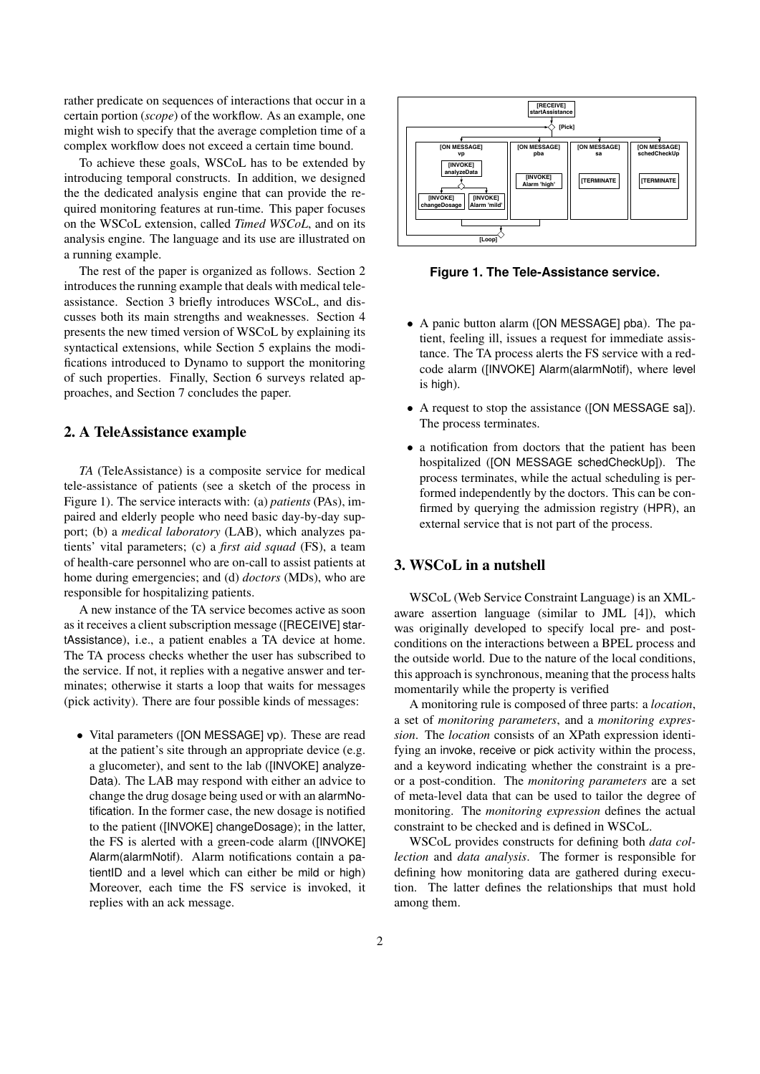rather predicate on sequences of interactions that occur in a certain portion (*scope*) of the workflow. As an example, one might wish to specify that the average completion time of a complex workflow does not exceed a certain time bound.

To achieve these goals, WSCoL has to be extended by introducing temporal constructs. In addition, we designed the the dedicated analysis engine that can provide the required monitoring features at run-time. This paper focuses on the WSCoL extension, called *Timed WSCoL*, and on its analysis engine. The language and its use are illustrated on a running example.

The rest of the paper is organized as follows. Section 2 introduces the running example that deals with medical teleassistance. Section 3 briefly introduces WSCoL, and discusses both its main strengths and weaknesses. Section 4 presents the new timed version of WSCoL by explaining its syntactical extensions, while Section 5 explains the modifications introduced to Dynamo to support the monitoring of such properties. Finally, Section 6 surveys related approaches, and Section 7 concludes the paper.

#### 2. A TeleAssistance example

*TA* (TeleAssistance) is a composite service for medical tele-assistance of patients (see a sketch of the process in Figure 1). The service interacts with: (a) *patients* (PAs), impaired and elderly people who need basic day-by-day support; (b) a *medical laboratory* (LAB), which analyzes patients' vital parameters; (c) a *first aid squad* (FS), a team of health-care personnel who are on-call to assist patients at home during emergencies; and (d) *doctors* (MDs), who are responsible for hospitalizing patients.

A new instance of the TA service becomes active as soon as it receives a client subscription message ([RECEIVE] startAssistance), i.e., a patient enables a TA device at home. The TA process checks whether the user has subscribed to the service. If not, it replies with a negative answer and terminates; otherwise it starts a loop that waits for messages (pick activity). There are four possible kinds of messages:

• Vital parameters ([ON MESSAGE] vp). These are read at the patient's site through an appropriate device (e.g. a glucometer), and sent to the lab ([INVOKE] analyze-Data). The LAB may respond with either an advice to change the drug dosage being used or with an alarmNotification. In the former case, the new dosage is notified to the patient ([INVOKE] changeDosage); in the latter, the FS is alerted with a green-code alarm ([INVOKE] Alarm(alarmNotif). Alarm notifications contain a patientID and a level which can either be mild or high) Moreover, each time the FS service is invoked, it replies with an ack message.



**Figure 1. The Tele-Assistance service.**

- A panic button alarm ([ON MESSAGE] pba). The patient, feeling ill, issues a request for immediate assistance. The TA process alerts the FS service with a redcode alarm ([INVOKE] Alarm(alarmNotif), where level is high).
- A request to stop the assistance ([ON MESSAGE sa]). The process terminates.
- a notification from doctors that the patient has been hospitalized ([ON MESSAGE schedCheckUp]). The process terminates, while the actual scheduling is performed independently by the doctors. This can be confirmed by querying the admission registry (HPR), an external service that is not part of the process.

## 3. WSCoL in a nutshell

WSCoL (Web Service Constraint Language) is an XMLaware assertion language (similar to JML [4]), which was originally developed to specify local pre- and postconditions on the interactions between a BPEL process and the outside world. Due to the nature of the local conditions, this approach is synchronous, meaning that the process halts momentarily while the property is verified

A monitoring rule is composed of three parts: a *location*, a set of *monitoring parameters*, and a *monitoring expression*. The *location* consists of an XPath expression identifying an invoke, receive or pick activity within the process, and a keyword indicating whether the constraint is a preor a post-condition. The *monitoring parameters* are a set of meta-level data that can be used to tailor the degree of monitoring. The *monitoring expression* defines the actual constraint to be checked and is defined in WSCoL.

WSCoL provides constructs for defining both *data collection* and *data analysis*. The former is responsible for defining how monitoring data are gathered during execution. The latter defines the relationships that must hold among them.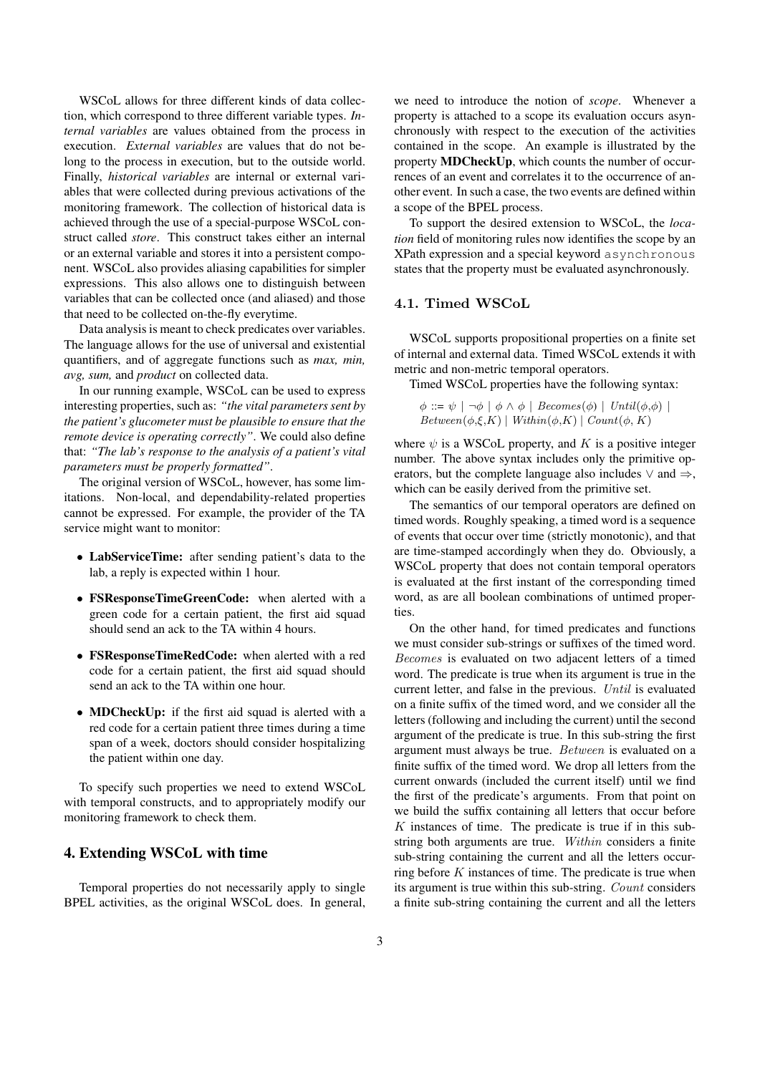WSCoL allows for three different kinds of data collection, which correspond to three different variable types. *Internal variables* are values obtained from the process in execution. *External variables* are values that do not belong to the process in execution, but to the outside world. Finally, *historical variables* are internal or external variables that were collected during previous activations of the monitoring framework. The collection of historical data is achieved through the use of a special-purpose WSCoL construct called *store*. This construct takes either an internal or an external variable and stores it into a persistent component. WSCoL also provides aliasing capabilities for simpler expressions. This also allows one to distinguish between variables that can be collected once (and aliased) and those that need to be collected on-the-fly everytime.

Data analysis is meant to check predicates over variables. The language allows for the use of universal and existential quantifiers, and of aggregate functions such as *max, min, avg, sum,* and *product* on collected data.

In our running example, WSCoL can be used to express interesting properties, such as: *"the vital parameters sent by the patient's glucometer must be plausible to ensure that the remote device is operating correctly"*. We could also define that: *"The lab's response to the analysis of a patient's vital parameters must be properly formatted"*.

The original version of WSCoL, however, has some limitations. Non-local, and dependability-related properties cannot be expressed. For example, the provider of the TA service might want to monitor:

- LabServiceTime: after sending patient's data to the lab, a reply is expected within 1 hour.
- FSResponseTimeGreenCode: when alerted with a green code for a certain patient, the first aid squad should send an ack to the TA within 4 hours.
- FSResponseTimeRedCode: when alerted with a red code for a certain patient, the first aid squad should send an ack to the TA within one hour.
- MDCheckUp: if the first aid squad is alerted with a red code for a certain patient three times during a time span of a week, doctors should consider hospitalizing the patient within one day.

To specify such properties we need to extend WSCoL with temporal constructs, and to appropriately modify our monitoring framework to check them.

#### 4. Extending WSCoL with time

Temporal properties do not necessarily apply to single BPEL activities, as the original WSCoL does. In general, we need to introduce the notion of *scope*. Whenever a property is attached to a scope its evaluation occurs asynchronously with respect to the execution of the activities contained in the scope. An example is illustrated by the property MDCheckUp, which counts the number of occurrences of an event and correlates it to the occurrence of another event. In such a case, the two events are defined within a scope of the BPEL process.

To support the desired extension to WSCoL, the *location* field of monitoring rules now identifies the scope by an XPath expression and a special keyword asynchronous states that the property must be evaluated asynchronously.

### 4.1. Timed WSCoL

WSCoL supports propositional properties on a finite set of internal and external data. Timed WSCoL extends it with metric and non-metric temporal operators.

Timed WSCoL properties have the following syntax:

 $\phi ::= \psi \mid \neg \phi \mid \phi \land \phi \mid \text{Because}(\phi) \mid \text{Until}(\phi, \phi) \mid$  $Between(\phi, \xi, K) \mid Within(\phi, K) \mid Count(\phi, K)$ 

where  $\psi$  is a WSCoL property, and K is a positive integer number. The above syntax includes only the primitive operators, but the complete language also includes  $\vee$  and  $\Rightarrow$ , which can be easily derived from the primitive set.

The semantics of our temporal operators are defined on timed words. Roughly speaking, a timed word is a sequence of events that occur over time (strictly monotonic), and that are time-stamped accordingly when they do. Obviously, a WSCoL property that does not contain temporal operators is evaluated at the first instant of the corresponding timed word, as are all boolean combinations of untimed properties.

On the other hand, for timed predicates and functions we must consider sub-strings or suffixes of the timed word. Becomes is evaluated on two adjacent letters of a timed word. The predicate is true when its argument is true in the current letter, and false in the previous. Until is evaluated on a finite suffix of the timed word, and we consider all the letters (following and including the current) until the second argument of the predicate is true. In this sub-string the first argument must always be true. Between is evaluated on a finite suffix of the timed word. We drop all letters from the current onwards (included the current itself) until we find the first of the predicate's arguments. From that point on we build the suffix containing all letters that occur before  $K$  instances of time. The predicate is true if in this substring both arguments are true. Within considers a finite sub-string containing the current and all the letters occurring before  $K$  instances of time. The predicate is true when its argument is true within this sub-string. Count considers a finite sub-string containing the current and all the letters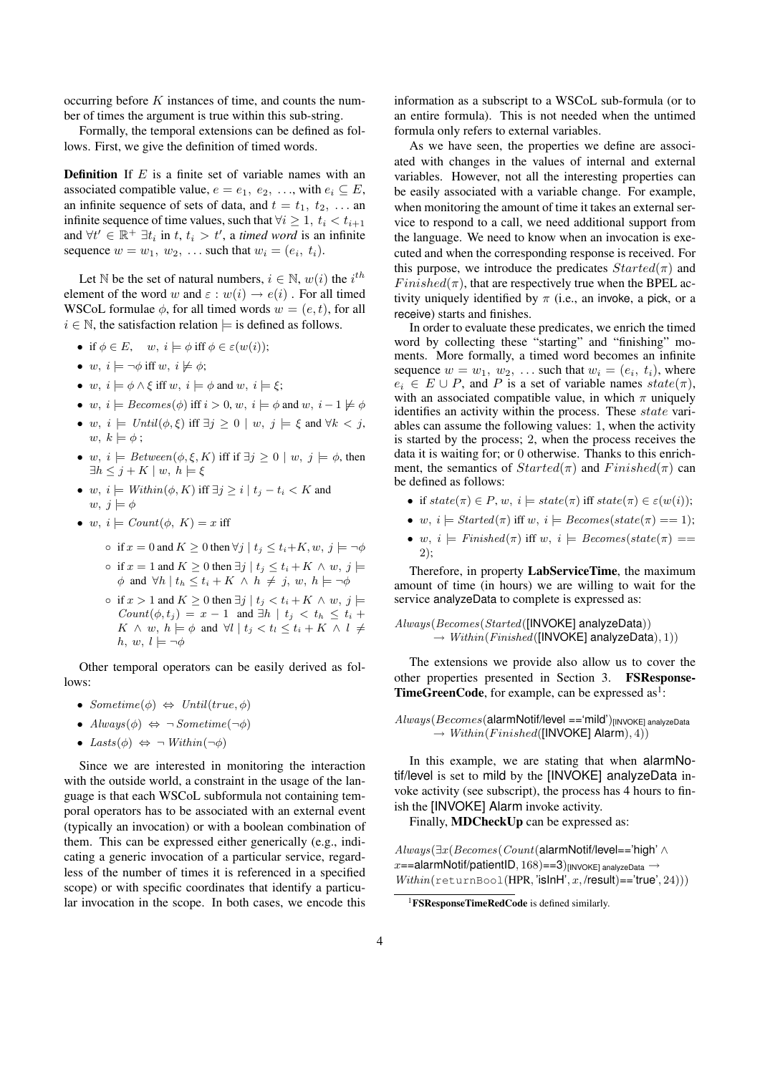occurring before K instances of time, and counts the number of times the argument is true within this sub-string.

Formally, the temporal extensions can be defined as follows. First, we give the definition of timed words.

**Definition** If  $E$  is a finite set of variable names with an associated compatible value,  $e = e_1, e_2, \ldots$ , with  $e_i \subseteq E$ , an infinite sequence of sets of data, and  $t = t_1, t_2, \ldots$  and infinite sequence of time values, such that  $\forall i \geq 1, t_i < t_{i+1}$ and  $\forall t' \in \mathbb{R}^+ \exists t_i$  in  $t, t_i > t'$ , a *timed word* is an infinite sequence  $w = w_1, w_2, \ldots$  such that  $w_i = (e_i, t_i)$ .

Let N be the set of natural numbers,  $i \in \mathbb{N}$ ,  $w(i)$  the  $i^{th}$ element of the word w and  $\varepsilon : w(i) \to e(i)$ . For all timed WSCoL formulae  $\phi$ , for all timed words  $w = (e, t)$ , for all  $i \in \mathbb{N}$ , the satisfaction relation  $\models$  is defined as follows.

- if  $\phi \in E$ ,  $w, i \models \phi$  iff  $\phi \in \varepsilon(w(i))$ ;
- w,  $i \models \neg \phi$  iff w,  $i \not\models \phi$ ;
- w,  $i \models \phi \land \xi$  iff w,  $i \models \phi$  and w,  $i \models \xi$ ;
- w,  $i \models \text{Becomes}(\phi)$  iff  $i > 0, w, i \models \phi$  and w,  $i 1 \not\models \phi$
- w,  $i \models \text{Until}(\phi, \xi)$  iff  $\exists j \geq 0 \mid w, j \models \xi$  and  $\forall k < j$ ,  $w, k \models \phi;$
- w,  $i \models Between(\phi, \xi, K)$  iff if  $\exists j \geq 0 \mid w, j \models \phi$ , then  $\exists h \leq j + K \mid w, h \models \xi$
- w,  $i \models \text{Within}(\phi, K)$  iff  $\exists j \geq i \mid t_j t_i < K$  and  $w, j \models \phi$
- w,  $i \models Count(\phi, K) = x$  iff
	- if  $x = 0$  and  $K \ge 0$  then  $\forall j \mid t_j \le t_i + K, w, j \models \neg \phi$ ○ if  $x = 1$  and  $K \ge 0$  then  $\exists j \mid t_j \le t_i + K \land w, j \models$  $\phi$  and  $\forall h \mid t_h \leq t_i + K \land h \neq j, w, h \models \neg \phi$
	- if  $x > 1$  and  $K \ge 0$  then  $\exists j \mid t_j < t_i + K \land w, j \models$  $Count(\phi, t_i) = x - 1$  and  $\exists h \mid t_i < t_h \leq t_i + 1$  $K \wedge w, h \models \phi \text{ and } \forall l \mid t_j < t_l \leq t_i + K \wedge l \neq$ h, w,  $l \models \neg \phi$

Other temporal operators can be easily derived as follows:

- Sometime( $\phi$ )  $\Leftrightarrow$  Until(true,  $\phi$ )
- $Always(\phi) \Leftrightarrow \neg Sometimes(\neg \phi)$
- Lasts $(\phi) \Leftrightarrow \neg \text{Within}(\neg \phi)$

Since we are interested in monitoring the interaction with the outside world, a constraint in the usage of the language is that each WSCoL subformula not containing temporal operators has to be associated with an external event (typically an invocation) or with a boolean combination of them. This can be expressed either generically (e.g., indicating a generic invocation of a particular service, regardless of the number of times it is referenced in a specified scope) or with specific coordinates that identify a particular invocation in the scope. In both cases, we encode this information as a subscript to a WSCoL sub-formula (or to an entire formula). This is not needed when the untimed formula only refers to external variables.

As we have seen, the properties we define are associated with changes in the values of internal and external variables. However, not all the interesting properties can be easily associated with a variable change. For example, when monitoring the amount of time it takes an external service to respond to a call, we need additional support from the language. We need to know when an invocation is executed and when the corresponding response is received. For this purpose, we introduce the predicates  $Started(\pi)$  and  $Finished(\pi)$ , that are respectively true when the BPEL activity uniquely identified by  $\pi$  (i.e., an invoke, a pick, or a receive) starts and finishes.

In order to evaluate these predicates, we enrich the timed word by collecting these "starting" and "finishing" moments. More formally, a timed word becomes an infinite sequence  $w = w_1, w_2, \ldots$  such that  $w_i = (e_i, t_i)$ , where  $e_i \in E \cup P$ , and P is a set of variable names  $state(\pi)$ , with an associated compatible value, in which  $\pi$  uniquely identifies an activity within the process. These *state* variables can assume the following values: 1, when the activity is started by the process; 2, when the process receives the data it is waiting for; or 0 otherwise. Thanks to this enrichment, the semantics of  $Started(\pi)$  and  $Finished(\pi)$  can be defined as follows:

- if  $state(\pi) \in P, w, i \models state(\pi)$  iff  $state(\pi) \in \varepsilon(w(i));$
- w,  $i \models \text{Started}(\pi)$  iff w,  $i \models \text{Because}(\text{state}(\pi) == 1);$
- w,  $i \models$  Finished( $\pi$ ) iff w,  $i \models$  Becomes(state( $\pi$ ) == 2);

Therefore, in property LabServiceTime, the maximum amount of time (in hours) we are willing to wait for the service analyzeData to complete is expressed as:

Always(Becomes(Started([INVOKE] analyzeData))  $\rightarrow$  Within(Finished([INVOKE] analyzeData), 1))

The extensions we provide also allow us to cover the other properties presented in Section 3. FSResponse-**TimeGreenCode**, for example, can be expressed as<sup>1</sup>:

 $Always(Because(**alarmNotif/level == 'mild')**)$ [INVOKE] analyzeData  $\rightarrow$  Within(Finished([INVOKE] Alarm), 4))

In this example, we are stating that when alarmNotif/level is set to mild by the [INVOKE] analyzeData invoke activity (see subscript), the process has 4 hours to finish the [INVOKE] Alarm invoke activity.

Finally, MDCheckUp can be expressed as:

Always(∃x(Becomes(Count(alarmNotif/level=='high' ∧  $x=$  alarmNotif/patientID, 168) = = 3)[INVOKE] analyzeData  $\rightarrow$  $Within(returnBool(HPR, 'isInH', x, /result)=: true', 24))$ 

<sup>&</sup>lt;sup>1</sup>**FSResponseTimeRedCode** is defined similarly.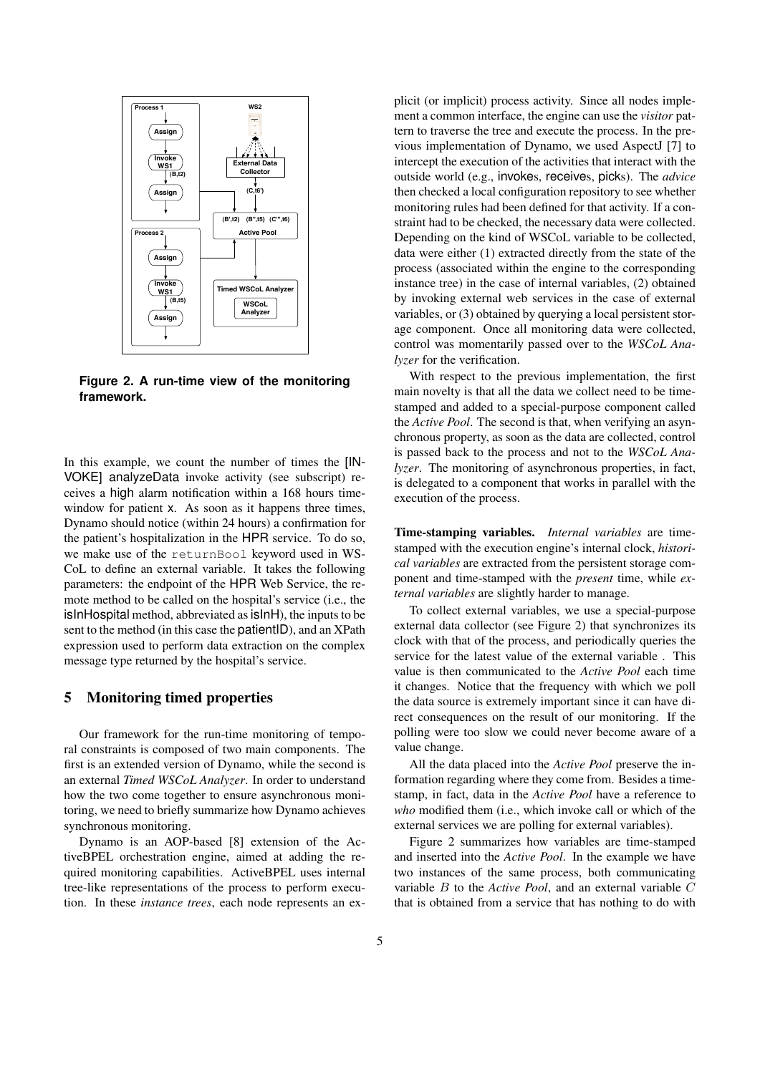

**Figure 2. A run-time view of the monitoring framework.**

In this example, we count the number of times the [IN-VOKE] analyzeData invoke activity (see subscript) receives a high alarm notification within a 168 hours timewindow for patient x. As soon as it happens three times, Dynamo should notice (within 24 hours) a confirmation for the patient's hospitalization in the HPR service. To do so, we make use of the returnBool keyword used in WS-CoL to define an external variable. It takes the following parameters: the endpoint of the HPR Web Service, the remote method to be called on the hospital's service (i.e., the isInHospital method, abbreviated as isInH), the inputs to be sent to the method (in this case the **patientID**), and an XPath expression used to perform data extraction on the complex message type returned by the hospital's service.

## 5 Monitoring timed properties

Our framework for the run-time monitoring of temporal constraints is composed of two main components. The first is an extended version of Dynamo, while the second is an external *Timed WSCoL Analyzer*. In order to understand how the two come together to ensure asynchronous monitoring, we need to briefly summarize how Dynamo achieves synchronous monitoring.

Dynamo is an AOP-based [8] extension of the ActiveBPEL orchestration engine, aimed at adding the required monitoring capabilities. ActiveBPEL uses internal tree-like representations of the process to perform execution. In these *instance trees*, each node represents an explicit (or implicit) process activity. Since all nodes implement a common interface, the engine can use the *visitor* pattern to traverse the tree and execute the process. In the previous implementation of Dynamo, we used AspectJ [7] to intercept the execution of the activities that interact with the outside world (e.g., invokes, receives, picks). The *advice* then checked a local configuration repository to see whether monitoring rules had been defined for that activity. If a constraint had to be checked, the necessary data were collected. Depending on the kind of WSCoL variable to be collected, data were either (1) extracted directly from the state of the process (associated within the engine to the corresponding instance tree) in the case of internal variables, (2) obtained by invoking external web services in the case of external variables, or (3) obtained by querying a local persistent storage component. Once all monitoring data were collected, control was momentarily passed over to the *WSCoL Analyzer* for the verification.

With respect to the previous implementation, the first main novelty is that all the data we collect need to be timestamped and added to a special-purpose component called the *Active Pool*. The second is that, when verifying an asynchronous property, as soon as the data are collected, control is passed back to the process and not to the *WSCoL Analyzer*. The monitoring of asynchronous properties, in fact, is delegated to a component that works in parallel with the execution of the process.

Time-stamping variables. *Internal variables* are timestamped with the execution engine's internal clock, *historical variables* are extracted from the persistent storage component and time-stamped with the *present* time, while *external variables* are slightly harder to manage.

To collect external variables, we use a special-purpose external data collector (see Figure 2) that synchronizes its clock with that of the process, and periodically queries the service for the latest value of the external variable . This value is then communicated to the *Active Pool* each time it changes. Notice that the frequency with which we poll the data source is extremely important since it can have direct consequences on the result of our monitoring. If the polling were too slow we could never become aware of a value change.

All the data placed into the *Active Pool* preserve the information regarding where they come from. Besides a timestamp, in fact, data in the *Active Pool* have a reference to *who* modified them (i.e., which invoke call or which of the external services we are polling for external variables).

Figure 2 summarizes how variables are time-stamped and inserted into the *Active Pool*. In the example we have two instances of the same process, both communicating variable B to the *Active Pool*, and an external variable C that is obtained from a service that has nothing to do with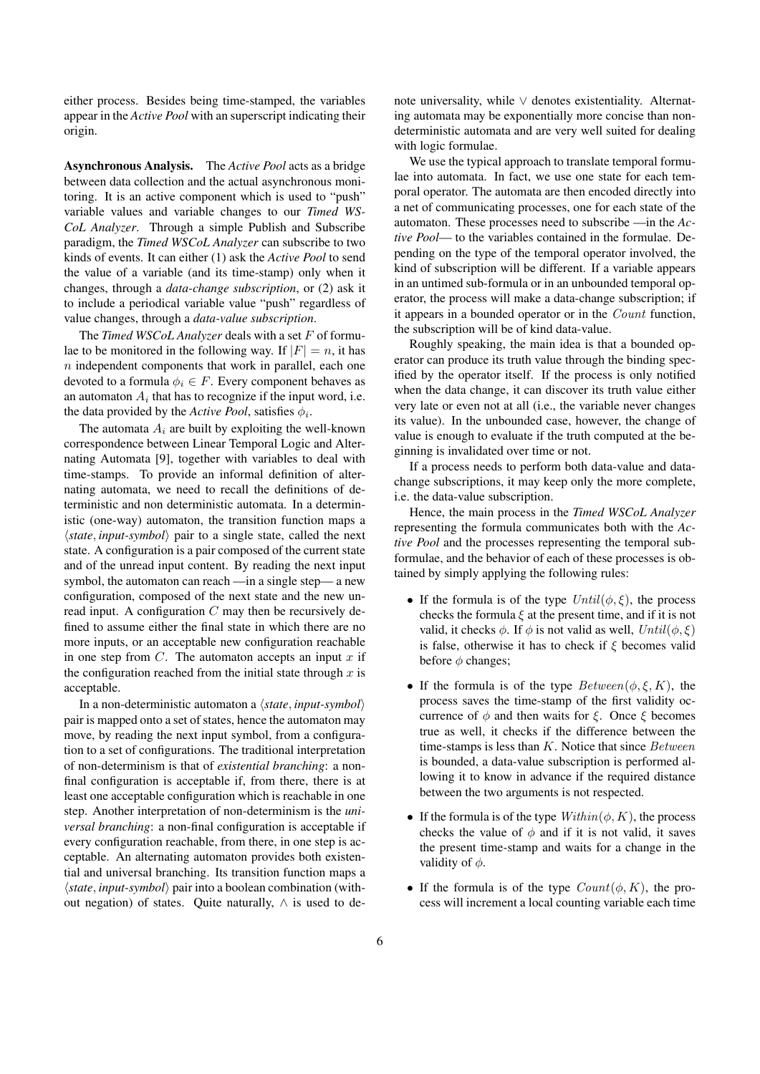either process. Besides being time-stamped, the variables appear in the *Active Pool* with an superscript indicating their origin.

Asynchronous Analysis. The *Active Pool* acts as a bridge between data collection and the actual asynchronous monitoring. It is an active component which is used to "push" variable values and variable changes to our *Timed WS-CoL Analyzer*. Through a simple Publish and Subscribe paradigm, the *Timed WSCoL Analyzer* can subscribe to two kinds of events. It can either (1) ask the *Active Pool* to send the value of a variable (and its time-stamp) only when it changes, through a *data-change subscription*, or (2) ask it to include a periodical variable value "push" regardless of value changes, through a *data-value subscription*.

The *Timed WSCoL Analyzer* deals with a set F of formulae to be monitored in the following way. If  $|F| = n$ , it has  $n$  independent components that work in parallel, each one devoted to a formula  $\phi_i \in F$ . Every component behaves as an automaton  $A_i$  that has to recognize if the input word, i.e. the data provided by the *Active Pool*, satisfies  $\phi_i$ .

The automata  $A_i$  are built by exploiting the well-known correspondence between Linear Temporal Logic and Alternating Automata [9], together with variables to deal with time-stamps. To provide an informal definition of alternating automata, we need to recall the definitions of deterministic and non deterministic automata. In a deterministic (one-way) automaton, the transition function maps a  $\langle state, input-symbol \rangle$  pair to a single state, called the next state. A configuration is a pair composed of the current state and of the unread input content. By reading the next input symbol, the automaton can reach —in a single step— a new configuration, composed of the next state and the new unread input. A configuration  $C$  may then be recursively defined to assume either the final state in which there are no more inputs, or an acceptable new configuration reachable in one step from  $C$ . The automaton accepts an input  $x$  if the configuration reached from the initial state through  $x$  is acceptable.

In a non-deterministic automaton a  $\langle state, input-symbol \rangle$ pair is mapped onto a set of states, hence the automaton may move, by reading the next input symbol, from a configuration to a set of configurations. The traditional interpretation of non-determinism is that of *existential branching*: a nonfinal configuration is acceptable if, from there, there is at least one acceptable configuration which is reachable in one step. Another interpretation of non-determinism is the *universal branching*: a non-final configuration is acceptable if every configuration reachable, from there, in one step is acceptable. An alternating automaton provides both existential and universal branching. Its transition function maps a  $\langle state, input-symbol \rangle$  pair into a boolean combination (without negation) of states. Quite naturally,  $\land$  is used to denote universality, while ∨ denotes existentiality. Alternating automata may be exponentially more concise than nondeterministic automata and are very well suited for dealing with logic formulae.

We use the typical approach to translate temporal formulae into automata. In fact, we use one state for each temporal operator. The automata are then encoded directly into a net of communicating processes, one for each state of the automaton. These processes need to subscribe —in the *Active Pool*— to the variables contained in the formulae. Depending on the type of the temporal operator involved, the kind of subscription will be different. If a variable appears in an untimed sub-formula or in an unbounded temporal operator, the process will make a data-change subscription; if it appears in a bounded operator or in the Count function, the subscription will be of kind data-value.

Roughly speaking, the main idea is that a bounded operator can produce its truth value through the binding specified by the operator itself. If the process is only notified when the data change, it can discover its truth value either very late or even not at all (i.e., the variable never changes its value). In the unbounded case, however, the change of value is enough to evaluate if the truth computed at the beginning is invalidated over time or not.

If a process needs to perform both data-value and datachange subscriptions, it may keep only the more complete, i.e. the data-value subscription.

Hence, the main process in the *Timed WSCoL Analyzer* representing the formula communicates both with the *Active Pool* and the processes representing the temporal subformulae, and the behavior of each of these processes is obtained by simply applying the following rules:

- If the formula is of the type  $Until(\phi, \xi)$ , the process checks the formula  $\xi$  at the present time, and if it is not valid, it checks  $\phi$ . If  $\phi$  is not valid as well,  $Until(\phi, \xi)$ is false, otherwise it has to check if  $\xi$  becomes valid before  $\phi$  changes;
- If the formula is of the type  $Between(\phi, \xi, K)$ , the process saves the time-stamp of the first validity occurrence of  $\phi$  and then waits for  $\xi$ . Once  $\xi$  becomes true as well, it checks if the difference between the time-stamps is less than  $K$ . Notice that since  $Between$ is bounded, a data-value subscription is performed allowing it to know in advance if the required distance between the two arguments is not respected.
- If the formula is of the type  $Within(\phi, K)$ , the process checks the value of  $\phi$  and if it is not valid, it saves the present time-stamp and waits for a change in the validity of  $\phi$ .
- If the formula is of the type  $Count(\phi, K)$ , the process will increment a local counting variable each time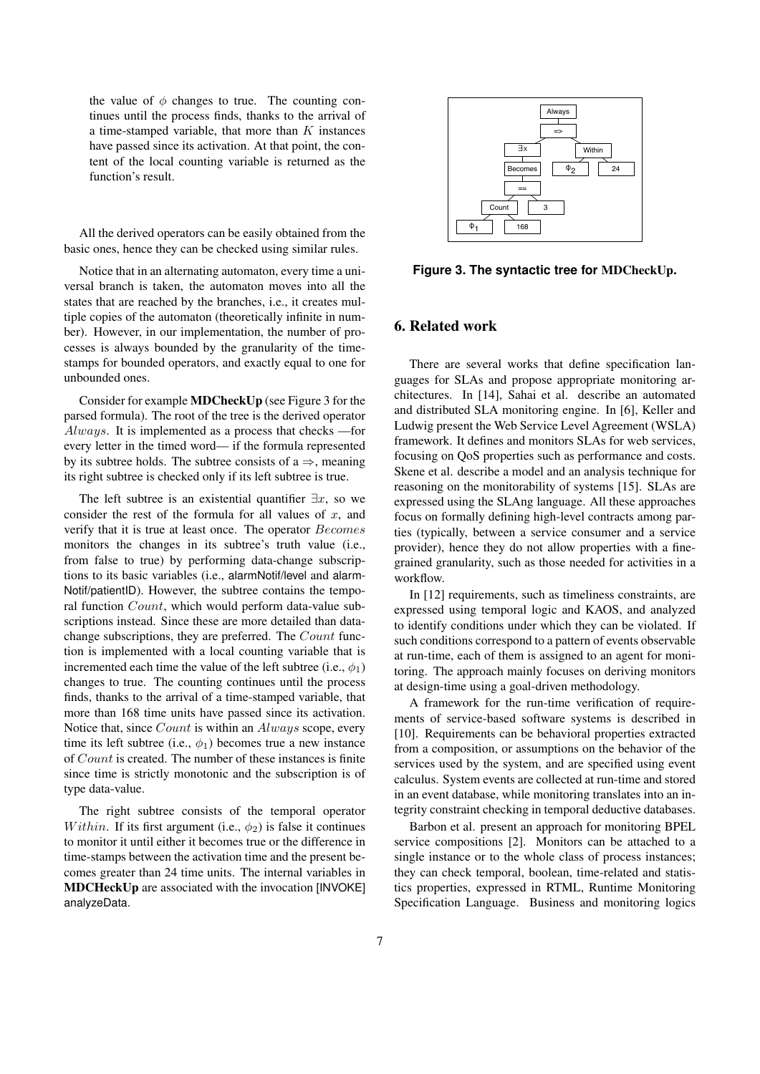the value of  $\phi$  changes to true. The counting continues until the process finds, thanks to the arrival of a time-stamped variable, that more than  $K$  instances have passed since its activation. At that point, the content of the local counting variable is returned as the function's result.

All the derived operators can be easily obtained from the basic ones, hence they can be checked using similar rules.

Notice that in an alternating automaton, every time a universal branch is taken, the automaton moves into all the states that are reached by the branches, i.e., it creates multiple copies of the automaton (theoretically infinite in number). However, in our implementation, the number of processes is always bounded by the granularity of the timestamps for bounded operators, and exactly equal to one for unbounded ones.

Consider for example MDCheckUp (see Figure 3 for the parsed formula). The root of the tree is the derived operator Always. It is implemented as a process that checks —for every letter in the timed word— if the formula represented by its subtree holds. The subtree consists of  $a \Rightarrow$ , meaning its right subtree is checked only if its left subtree is true.

The left subtree is an existential quantifier  $\exists x$ , so we consider the rest of the formula for all values of  $x$ , and verify that it is true at least once. The operator Becomes monitors the changes in its subtree's truth value (i.e., from false to true) by performing data-change subscriptions to its basic variables (i.e., alarmNotif/level and alarm-Notif/patientID). However, the subtree contains the temporal function Count, which would perform data-value subscriptions instead. Since these are more detailed than datachange subscriptions, they are preferred. The Count function is implemented with a local counting variable that is incremented each time the value of the left subtree (i.e.,  $\phi_1$ ) changes to true. The counting continues until the process finds, thanks to the arrival of a time-stamped variable, that more than 168 time units have passed since its activation. Notice that, since Count is within an Always scope, every time its left subtree (i.e.,  $\phi_1$ ) becomes true a new instance of Count is created. The number of these instances is finite since time is strictly monotonic and the subscription is of type data-value.

The right subtree consists of the temporal operator Within. If its first argument (i.e.,  $\phi_2$ ) is false it continues to monitor it until either it becomes true or the difference in time-stamps between the activation time and the present becomes greater than 24 time units. The internal variables in MDCHeckUp are associated with the invocation [INVOKE] analyzeData.



**Figure 3. The syntactic tree for** MDCheckUp**.**

### 6. Related work

There are several works that define specification languages for SLAs and propose appropriate monitoring architectures. In [14], Sahai et al. describe an automated and distributed SLA monitoring engine. In [6], Keller and Ludwig present the Web Service Level Agreement (WSLA) framework. It defines and monitors SLAs for web services, focusing on QoS properties such as performance and costs. Skene et al. describe a model and an analysis technique for reasoning on the monitorability of systems [15]. SLAs are expressed using the SLAng language. All these approaches focus on formally defining high-level contracts among parties (typically, between a service consumer and a service provider), hence they do not allow properties with a finegrained granularity, such as those needed for activities in a workflow.

In [12] requirements, such as timeliness constraints, are expressed using temporal logic and KAOS, and analyzed to identify conditions under which they can be violated. If such conditions correspond to a pattern of events observable at run-time, each of them is assigned to an agent for monitoring. The approach mainly focuses on deriving monitors at design-time using a goal-driven methodology.

A framework for the run-time verification of requirements of service-based software systems is described in [10]. Requirements can be behavioral properties extracted from a composition, or assumptions on the behavior of the services used by the system, and are specified using event calculus. System events are collected at run-time and stored in an event database, while monitoring translates into an integrity constraint checking in temporal deductive databases.

Barbon et al. present an approach for monitoring BPEL service compositions [2]. Monitors can be attached to a single instance or to the whole class of process instances; they can check temporal, boolean, time-related and statistics properties, expressed in RTML, Runtime Monitoring Specification Language. Business and monitoring logics